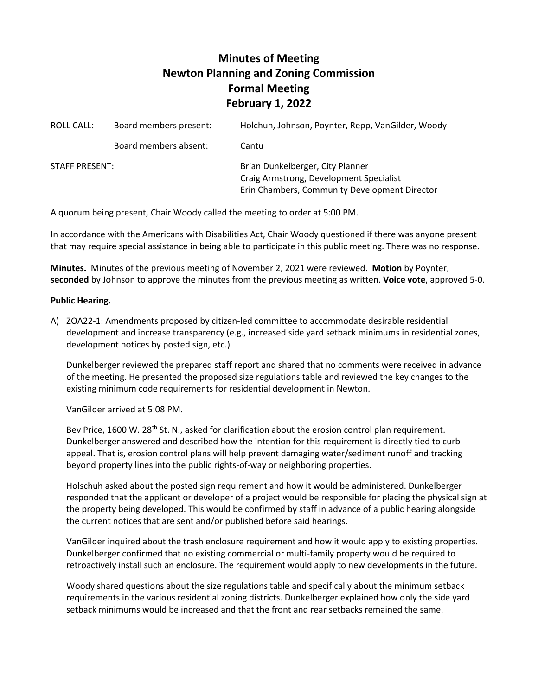## **Minutes of Meeting Newton Planning and Zoning Commission Formal Meeting February 1, 2022**

| ROLL CALL:            | Board members present: | Holchuh, Johnson, Poynter, Repp, VanGilder, Woody                                                                            |
|-----------------------|------------------------|------------------------------------------------------------------------------------------------------------------------------|
|                       | Board members absent:  | Cantu                                                                                                                        |
| <b>STAFF PRESENT:</b> |                        | Brian Dunkelberger, City Planner<br>Craig Armstrong, Development Specialist<br>Erin Chambers, Community Development Director |

A quorum being present, Chair Woody called the meeting to order at 5:00 PM.

In accordance with the Americans with Disabilities Act, Chair Woody questioned if there was anyone present that may require special assistance in being able to participate in this public meeting. There was no response.

**Minutes.** Minutes of the previous meeting of November 2, 2021 were reviewed. **Motion** by Poynter, **seconded** by Johnson to approve the minutes from the previous meeting as written. **Voice vote**, approved 5-0.

## **Public Hearing.**

A) ZOA22-1: Amendments proposed by citizen-led committee to accommodate desirable residential development and increase transparency (e.g., increased side yard setback minimums in residential zones, development notices by posted sign, etc.)

Dunkelberger reviewed the prepared staff report and shared that no comments were received in advance of the meeting. He presented the proposed size regulations table and reviewed the key changes to the existing minimum code requirements for residential development in Newton.

VanGilder arrived at 5:08 PM.

Bev Price, 1600 W. 28<sup>th</sup> St. N., asked for clarification about the erosion control plan requirement. Dunkelberger answered and described how the intention for this requirement is directly tied to curb appeal. That is, erosion control plans will help prevent damaging water/sediment runoff and tracking beyond property lines into the public rights-of-way or neighboring properties.

Holschuh asked about the posted sign requirement and how it would be administered. Dunkelberger responded that the applicant or developer of a project would be responsible for placing the physical sign at the property being developed. This would be confirmed by staff in advance of a public hearing alongside the current notices that are sent and/or published before said hearings.

VanGilder inquired about the trash enclosure requirement and how it would apply to existing properties. Dunkelberger confirmed that no existing commercial or multi-family property would be required to retroactively install such an enclosure. The requirement would apply to new developments in the future.

Woody shared questions about the size regulations table and specifically about the minimum setback requirements in the various residential zoning districts. Dunkelberger explained how only the side yard setback minimums would be increased and that the front and rear setbacks remained the same.